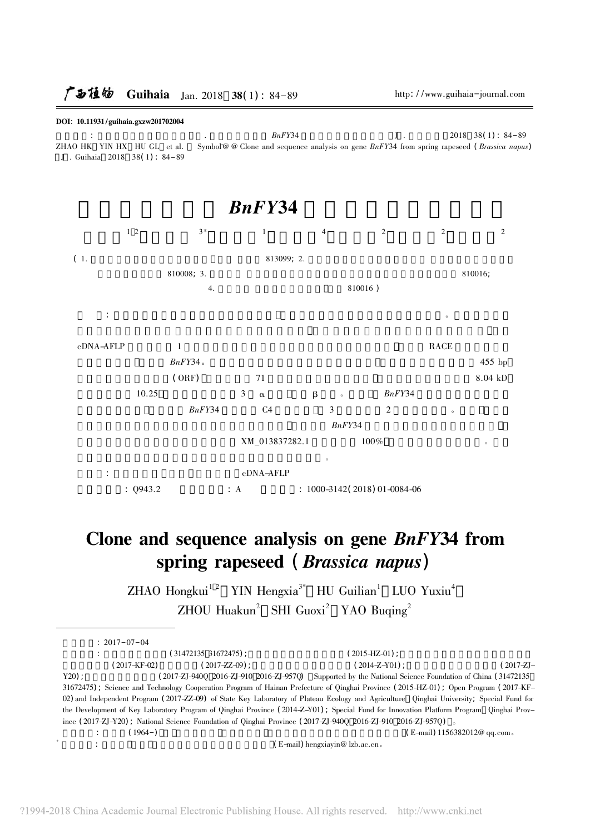#### DOI: 10.11931/guihaia.gxzw201702004

 $BnFY34$  $J$ .  $2018$  38(1): 84-89 ZHAO HK YIN HX HU GL et al. Symbol@ @ Clone and sequence analysis on gene BnFY34 from spring rapeseed (Brassica napus) J . Guihaia 2018 38(1): 84-89



# Clone and sequence analysis on gene BnFY34 from spring rapeseed (Brassica napus)

ZHAO Hongkui<sup>12</sup> YIN Hengxia<sup>3\*</sup> HU Guilian<sup>1</sup> LUO Yuxiu<sup>4</sup> ZHOU Huakun<sup>2</sup> SHI Guoxi<sup>2</sup> YAO Buqing<sup>2</sup>

| $: 2017 - 07 - 04$ |                                                                                                                                          |                                                                  |                              |
|--------------------|------------------------------------------------------------------------------------------------------------------------------------------|------------------------------------------------------------------|------------------------------|
|                    | (31472135 31672475):                                                                                                                     | $(2015-HZ-01)$ :                                                 |                              |
| $(2017 - KF - 02)$ | $(2017 - ZZ - 09)$ :                                                                                                                     | $(2014 - Z - Y01)$ :                                             | $(2017 - Z) -$               |
| $Y20$ :            | (2017-ZJ-9400 2016-ZJ-910 2016-ZJ-9570)                                                                                                  | Supported by the National Science Foundation of China (31472135) |                              |
|                    | 31672475); Science and Technology Cooperation Program of Hainan Prefecture of Qinghai Province (2015–HZ–01); Open Program (2017–KF–      |                                                                  |                              |
|                    | 02) and Independent Program (2017-ZZ-09) of State Key Laboratory of Plateau Ecology and Agriculture Qinghai University; Special Fund for |                                                                  |                              |
|                    | the Development of Key Laboratory Program of Qinghai Province (2014-Z-Y01); Special Fund for Innovation Platform Program Qinghai Prov-   |                                                                  |                              |
|                    | ince (2017-ZJ-Y20); National Science Foundation of Qinghai Province (2017-ZJ-940Q 2016-ZJ-910 2016-ZJ-957Q)                              |                                                                  |                              |
|                    | $(1964-)$                                                                                                                                |                                                                  | (E-mail) 1156382012@ qq.com。 |
|                    |                                                                                                                                          | (E-mail) hengxiayin@ lzb.ac.cn.                                  |                              |
|                    |                                                                                                                                          |                                                                  |                              |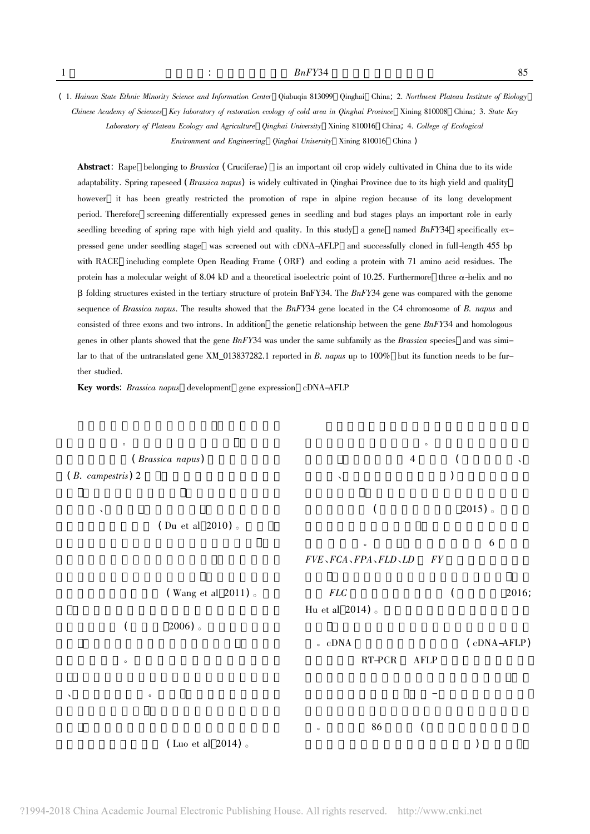(1. Hainan State Ethnic Minority Science and Information Center Qiabuqia 813099 Qinghai China; 2. Northwest Plateau Institute of Biology Chinese Academy of Sciences Key laboratory of restoration ecology of cold area in Qinghai Province Xining 810008 China; 3. State Key Laboratory of Plateau Ecology and Agriculture Qinghai University Xining 810016 China; 4. College of Ecological Environment and Engineering Qinghai University Xining 810016 China)

Abstract: Rape belonging to Brassica (Cruciferae) is an important oil crop widely cultivated in China due to its wide adaptability. Spring rapeseed (*Brassica napus*) is widely cultivated in Qinghai Province due to its high yield and quality however it has been greatly restricted the promotion of rape in alpine region because of its long development period. Therefore screening differentially expressed genes in seedling and bud stages plays an important role in early seedling breeding of spring rape with high yield and quality. In this study a gene named BnFY34 specifically expressed gene under seedling stage was screened out with cDNA-AFLP and successfully cloned in full-length 455 bp with RACE including complete Open Reading Frame (ORF) and coding a protein with 71 amino acid residues. The protein has a molecular weight of 8.04 kD and a theoretical isoelectric point of 10.25. Furthermore three  $\alpha$ -helix and no  $\beta$  folding structures existed in the tertiary structure of protein BnFY34. The BnFY34 gene was compared with the genome sequence of Brassica napus. The results showed that the BnFY34 gene located in the C4 chromosome of B. napus and consisted of three exons and two introns. In addition the genetic relationship between the gene  $BnFY34$  and homologous genes in other plants showed that the gene  $BnFY34$  was under the same subfamily as the Brassica species and was similar to that of the untranslated gene XM 013837282.1 reported in B. napus up to 100% but its function needs to be further studied.

Key words: Brassica napus development gene expression cDNA-AFLP

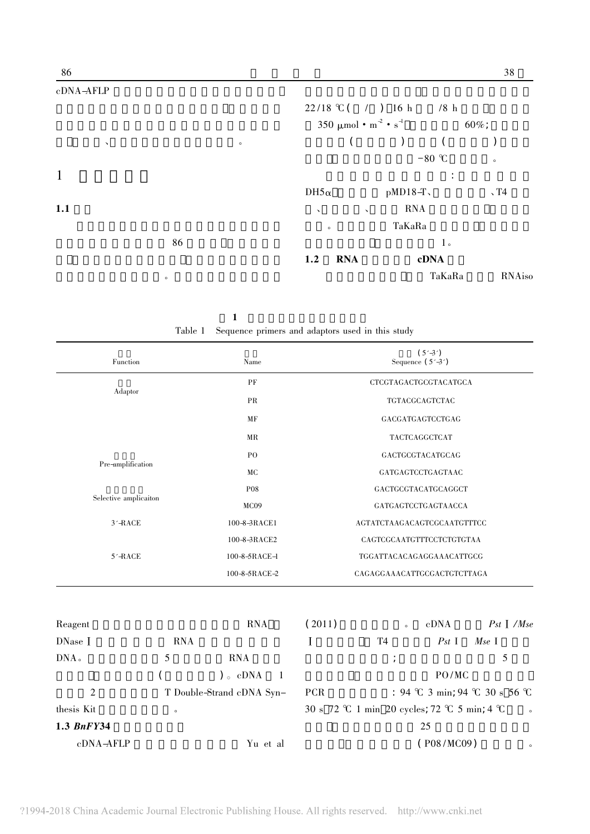| 350 $\mu$ mol • m <sup>-2</sup> • s <sup>-1</sup> |            | $60\%$ ;       |                                                                                 |
|---------------------------------------------------|------------|----------------|---------------------------------------------------------------------------------|
|                                                   | $\bigcup$  |                |                                                                                 |
|                                                   |            |                | $\circ$                                                                         |
|                                                   |            | $\ddot{\cdot}$ |                                                                                 |
| $DH5\alpha$                                       |            |                | $\sqrt{14}$                                                                     |
| $\mathbf{v}$<br>$\bar{ }$                         | <b>RNA</b> |                |                                                                                 |
| $\circ$                                           |            |                |                                                                                 |
|                                                   |            | 1 <sub>o</sub> |                                                                                 |
| <b>RNA</b><br>1.2                                 |            |                |                                                                                 |
|                                                   |            |                | <b>RNAiso</b>                                                                   |
|                                                   |            |                | $22/18$ °C ( / ) 16 h /8 h<br>$-80$ °C<br>$pMD18-T$<br>TaKaRa<br>cDNA<br>TaKaRa |

| Table 1 Sequence primers and adaptors used in this study |  |  |  |  |
|----------------------------------------------------------|--|--|--|--|

| Function              |            | Name                           |                                               | Sequence $(5' - 3')$ | $(5' - 3')$       |             |
|-----------------------|------------|--------------------------------|-----------------------------------------------|----------------------|-------------------|-------------|
|                       |            | PF                             | CTCGTAGACTGCGTACATGCA                         |                      |                   |             |
| Adaptor               |            | PR                             | TGTACGCAGTCTAC                                |                      |                   |             |
|                       |            | MF                             |                                               |                      | GACGATGAGTCCTGAG  |             |
|                       |            | MR                             |                                               |                      | TACTCAGGCTCAT     |             |
|                       |            | PO                             |                                               | GACTGCGTACATGCAG     |                   |             |
| Pre-amplification     |            | <b>MC</b>                      |                                               |                      | GATGAGTCCTGAGTAAC |             |
|                       |            | P08                            |                                               | GACTGCGTACATGCAGGCT  |                   |             |
| Selective amplicaiton |            | MC09                           |                                               | GATGAGTCCTGAGTAACCA  |                   |             |
| $3'$ -RACE            |            | 100-8-3RACE1                   | AGTATCTAAGACAGTCGCAATGTTTCC                   |                      |                   |             |
|                       |            | 100-8-3RACE2                   | CAGTCGCAATGTTTCCTCTGTGTAA                     |                      |                   |             |
| $5'$ -RACE            |            | 100-8-5RACE-1                  | TGGATTACACAGAGGAAACATTGCG                     |                      |                   |             |
|                       |            | 100-8-5RACE-2                  | CAGAGGAAACATTGCGACTGTCTTAGA                   |                      |                   |             |
| Reagent               |            | <b>RNA</b>                     | (2011)                                        | $\circ$              | cDNA              | $Pst$ $Mse$ |
| DNase I               | <b>RNA</b> |                                | I                                             | <b>T4</b>            | $P_{st}$ I        | Mse I       |
| $DNAo$                | 5          | <b>RNA</b>                     |                                               | $\cdot$              |                   | 5           |
|                       |            | $) \circ$ cDNA<br>$\mathbf{1}$ |                                               |                      | PO/MC             |             |
| $\overline{c}$        |            | T Double-Strand cDNA Syn-      | : 94 °C 3 min; 94 °C 30 s 56 °C<br><b>PCR</b> |                      |                   |             |
| thesis Kit            | $\circ$    |                                | 30 s 72 ℃ 1 min 20 cycles; 72 ℃ 5 min; 4 ℃    |                      |                   |             |
| 1.3 BnFY34            |            |                                |                                               |                      | 25                |             |
| cDNA-AFLP             |            | Yu et al                       | $($ P08/MC09 $)$                              |                      |                   | $\circ$     |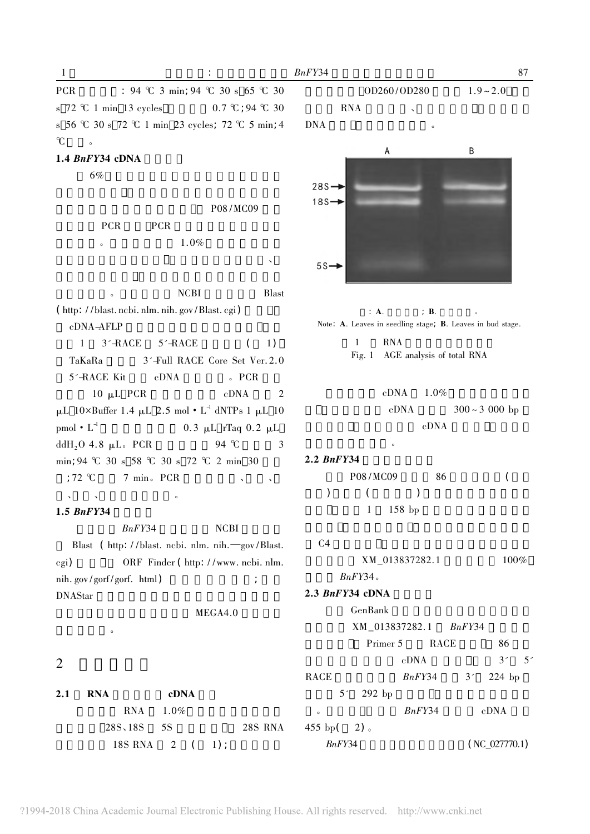| <b>PCR</b> |                                          | : 94 °C 3 min; 94 °C 30 s 65 °C 30                                |
|------------|------------------------------------------|-------------------------------------------------------------------|
|            | s $72 \text{ }^{\circ}C$ 1 min 13 cycles | $0.7 \text{ }^{\circ}\text{C}$ ; 94 $\text{ }^{\circ}\text{C}$ 30 |
|            |                                          | s 56 °C 30 s 72 °C 1 min 23 cycles; 72 °C 5 min; 4                |
| $\gamma$   | $\circ$                                  |                                                                   |

### 1.4  $BnFY34$  cDNA

6%

P08/MC09 **PCR PCR**  $1.0%$  $\circ$ 

**NCBI Blast** (http://blast.ncbi.nlm.nih.gov/Blast.cgi) cDNA-AFLP  $1 \quad 3'$ -RACE  $5'$ -RACE  $\overline{(\ }$  $1)$ 3'-Full RACE Core Set Ver. 2.0 TaKaRa 5'-RACE Kit  $cDNA$  $\epsilon$  PCR 10  $\mu$ L PCR  $cDNA$  $\overline{2}$  $\upmu L$ 10×Buffer 1.4  $\upmu L$  2.5 mol •  $L^4$  dNTPs 1  $\upmu L$  10  $pmol \cdot L^4$  $0.3$  μL rTaq 0.2 μL ddH<sub>2</sub>O 4.8  $\mu$ L. PCR 94 °C 3 min; 94 °C 30 s 58 °C 30 s 72 °C 2 min 30 7 min. PCR  $:72$  °C

## $\sqrt{2}$  $1.5$  BnFY34

 $BnFY34$ **NCBI** Blast ( http://blast. ncbi. nlm. nih.-gov/Blast. ORF Finder (http://www.ncbi.nlm.  $\binom{1}{2}$ nih.gov/gorf/gorf.html)  $\cdot$ **DNAStar** 

MEGA4.0

## $\overline{2}$

 $2.1$ cDNA **RNA RNA**  $1.0%$ 28S, 18S 5S **28S RNA 18S RNA** 2  $1)$  :  $\left($ 

OD260/OD280  $1.9 - 2.0$ **RNA** 

## **DNA**

 $BnFY34$ 



 $\therefore$  A.  $\therefore$  **B**. Note: A. Leaves in seedling stage; B. Leaves in bud stage.

> $\mathbf{1}$ **RNA** Fig. 1 AGE analysis of total RNA

> > $cDNA$  $1.0%$  $cDNA$  $300 \sim 3000$  bp  $cDNA$

### $2.2$  BnFY34

P08/MC09  $\overline{(\ }$ 86  $\mathcal{E}$  $\overline{(}$  $\mathcal{E}$  $\mathbf{1}$  $158$  bp

### $C<sub>4</sub>$

XM\_013837282.1 100%  $BnFY34$ 

## $2.3$  BnFY34 cDNA

GenBank XM\_013837282.1  $BnFY34$ Primer 5 **RACE** 86 cDNA  $3'$  $5'$ **RACE**  $BnFY34$  $3'$ 224 bp  $5'$ 292 bp  $BnFY34$  $cDNA$  $455$  bp(  $2)$  $BnFY34$  $(NC_027770.1)$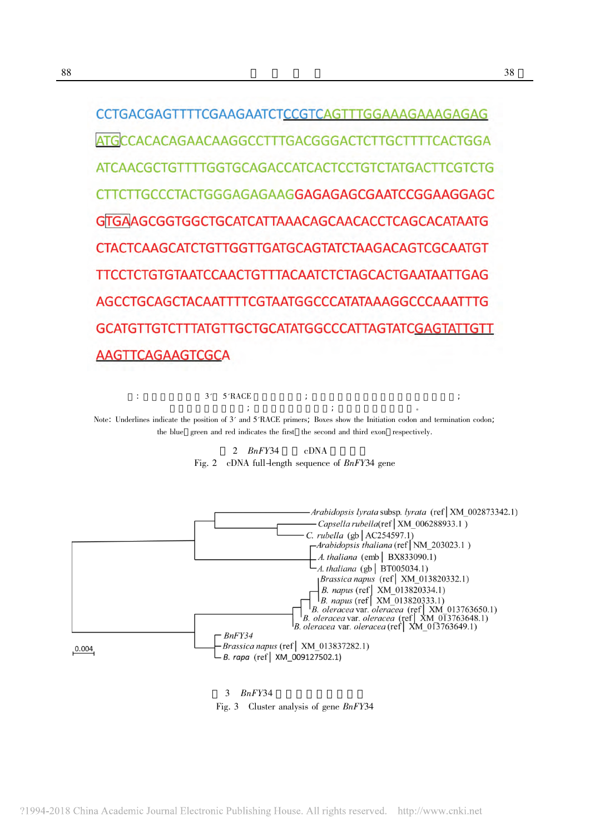ATGCCACACAGAACAAGGCCTTTGACGGGACTCTTGCTTTTCACTGGA ATCAACGCTGTTTTGGTGCAGACCATCACTCCTGTCTATGACTTCGTCTG CTTCTTGCCCTACTGGGAGAGAAG**GAGAGAGCGAATCCGGAAGGAGC** GTGAAGCGGTGGCTGCATCATTAAACAGCAACACCTCAGCACATAATG **CTACTCAAGCATCTGTTGGTTGATGCAGTATCTAAGACAGTCGCAATGT** TTCCTCTGTGTAATCCAACTGTTTACAATCTCTAGCACTGAATAATTGAG AGCCTGCAGCTACAATTTTCGTAATGGCCCATATAAAGGCCCAAATTTG GCATGTTGTCTTTATGTTGCTGCATATGGCCCATTAGTATC<u>GAGTATTGTT</u> AAGTTCAGAAGTCGCA

 $3'$  5<sup> $\pi$ </sup>RACE  $\cdot$ Note: Underlines indicate the position of 3' and 5'RACE primers; Boxes show the Initiation codon and termination codon; the blue green and red indicates the first the second and third exon respectively.

> 2  $BnFY34$ cDNA Fig. 2 cDNA full-length sequence of BnFY34 gene



### $3$  BnFY34

Fig. 3 Cluster analysis of gene BnFY34